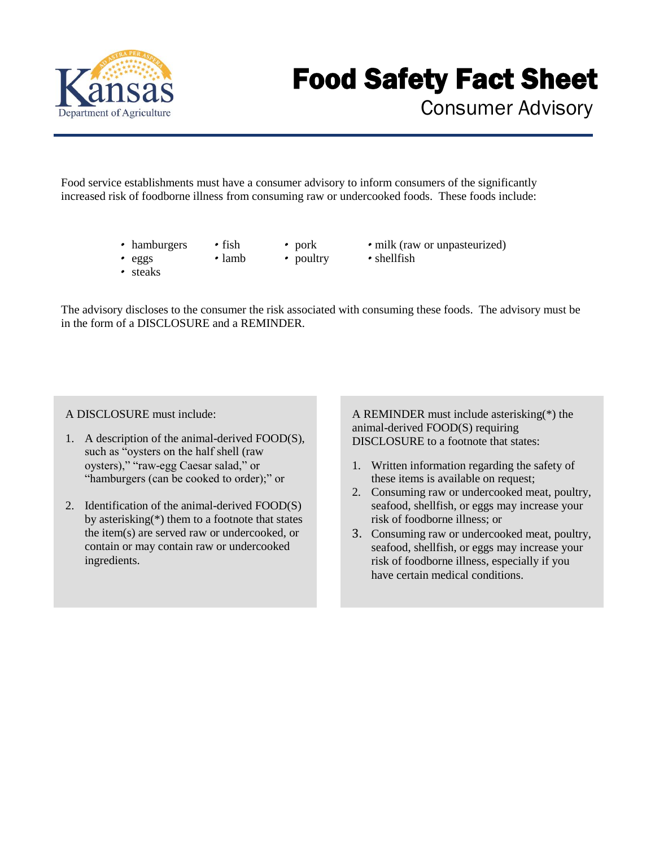

## Food Safety Fact Sheet

Consumer Advisory

Food service establishments must have a consumer advisory to inform consumers of the significantly increased risk of foodborne illness from consuming raw or undercooked foods. These foods include:

- hamburgers
- pork • poultry
- milk (raw or unpasteurized)

• eggs • steaks

•fish •lamb

•shellfish

The advisory discloses to the consumer the risk associated with consuming these foods. The advisory must be in the form of a DISCLOSURE and a REMINDER.

A DISCLOSURE must include:

- 1. A description of the animal-derived FOOD(S), such as "oysters on the half shell (raw oysters)," "raw-egg Caesar salad," or "hamburgers (can be cooked to order);" or
- 2. Identification of the animal-derived FOOD(S) by asterisking(\*) them to a footnote that states the item(s) are served raw or undercooked, or contain or may contain raw or undercooked ingredients.

A REMINDER must include asterisking(\*) the animal-derived FOOD(S) requiring DISCLOSURE to a footnote that states:

- 1. Written information regarding the safety of these items is available on request;
- 2. Consuming raw or undercooked meat, poultry, seafood, shellfish, or eggs may increase your risk of foodborne illness; or
- 3. Consuming raw or undercooked meat, poultry, seafood, shellfish, or eggs may increase your risk of foodborne illness, especially if you have certain medical conditions.